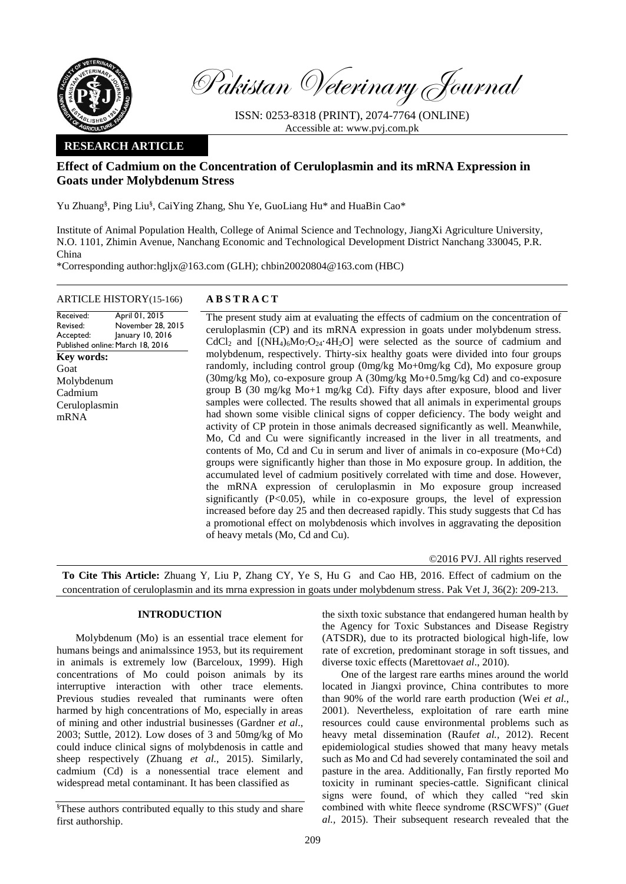

Pakistan Veterinary Journal

ISSN: 0253-8318 (PRINT), 2074-7764 (ONLINE) Accessible at: [www.pvj.com.pk](http://www.pvj.com.pk/)

# **RESEARCH ARTICLE**

# **Effect of Cadmium on the Concentration of Ceruloplasmin and its mRNA Expression in Goats under Molybdenum Stress**

Yu Zhuang<sup>§</sup>, Ping Liu<sup>§</sup>, CaiYing Zhang, Shu Ye, GuoLiang Hu\* and HuaBin Cao\*

Institute of Animal Population Health, College of Animal Science and Technology, JiangXi Agriculture University, N.O. 1101, Zhimin Avenue, Nanchang Economic and Technological Development District Nanchang 330045, P.R. China

\*Corresponding author:hgljx@163.com (GLH); chbin20020804@163.com (HBC)

## ARTICLE HISTORY(15-166) **A B S T R A C T**

Received: Revised: Accepted: Published online: March 18, 2016 April 01, 2015 November 28, 2015 January 10, 2016 **Key words:**  Goat Molybdenum Cadmium Ceruloplasmin mRNA

The present study aim at evaluating the effects of cadmium on the concentration of ceruloplasmin (CP) and its mRNA expression in goats under molybdenum stress.  $CdCl<sub>2</sub>$  and  $[(NH<sub>4</sub>)<sub>6</sub>Mo<sub>7</sub>O<sub>24</sub>·4H<sub>2</sub>O]$  were selected as the source of cadmium and molybdenum, respectively. Thirty-six healthy goats were divided into four groups randomly, including control group (0mg/kg Mo+0mg/kg Cd), Mo exposure group (30mg/kg Mo), co-exposure group A (30mg/kg Mo+0.5mg/kg Cd) and co-exposure group B (30 mg/kg Mo+1 mg/kg Cd). Fifty days after exposure, blood and liver samples were collected. The results showed that all animals in experimental groups had shown some visible clinical signs of copper deficiency. The body weight and activity of CP protein in those animals decreased significantly as well. Meanwhile, Mo, Cd and Cu were significantly increased in the liver in all treatments, and contents of Mo, Cd and Cu in serum and liver of animals in co-exposure (Mo+Cd) groups were significantly higher than those in Mo exposure group. In addition, the accumulated level of cadmium positively correlated with time and dose. However, the mRNA expression of ceruloplasmin in Mo exposure group increased significantly (P<0.05), while in co-exposure groups, the level of expression increased before day 25 and then decreased rapidly. This study suggests that Cd has a promotional effect on molybdenosis which involves in aggravating the deposition of heavy metals (Mo, Cd and Cu).

©2016 PVJ. All rights reserved

**To Cite This Article:** Zhuang Y, Liu P, Zhang CY, Ye S, Hu G and Cao HB, 2016. Effect of cadmium on the concentration of ceruloplasmin and its mrna expression in goats under molybdenum stress. Pak Vet J, 36(2): 209-213.

## **INTRODUCTION**

Molybdenum (Mo) is an essential trace element for humans beings and animalssince 1953, but its requirement in animals is extremely low (Barceloux, 1999). High concentrations of Mo could poison animals by its interruptive interaction with other trace elements. Previous studies revealed that ruminants were often harmed by high concentrations of Mo, especially in areas of mining and other industrial businesses (Gardner *et al*., 2003; Suttle, 2012). Low doses of 3 and 50mg/kg of Mo could induce clinical signs of molybdenosis in cattle and sheep respectively (Zhuang *et al.*, 2015). Similarly, cadmium (Cd) is a nonessential trace element and widespread metal contaminant. It has been classified as

the sixth toxic substance that endangered human health by the Agency for Toxic Substances and Disease Registry (ATSDR), due to its protracted biological high-life, low rate of excretion, predominant storage in soft tissues, and diverse toxic effects (Marettova*et al*., 2010).

One of the largest rare earths mines around the world located in Jiangxi province, China contributes to more than 90% of the world rare earth production (Wei *et al.*, 2001). Nevertheless, exploitation of rare earth mine resources could cause environmental problems such as heavy metal dissemination (Rauf*et al.,* 2012). Recent epidemiological studies showed that many heavy metals such as Mo and Cd had severely contaminated the soil and pasture in the area. Additionally, Fan firstly reported Mo toxicity in ruminant species-cattle. Significant clinical signs were found, of which they called "red skin combined with white fleece syndrome (RSCWFS)" (Gu*et al.,* 2015). Their subsequent research revealed that the

<sup>§</sup>These authors contributed equally to this study and share first authorship.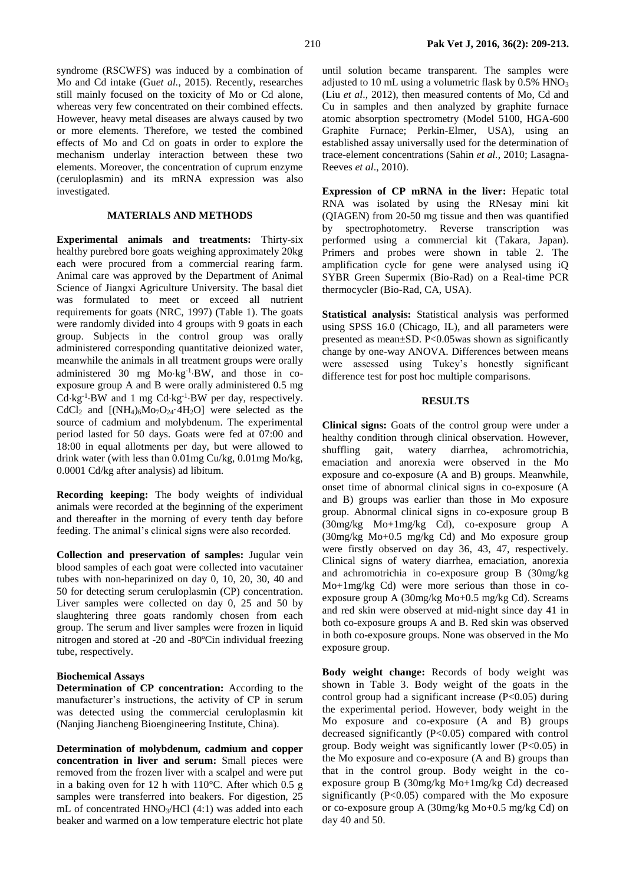syndrome (RSCWFS) was induced by a combination of Mo and Cd intake (Gu*et al.*, 2015). Recently, researches still mainly focused on the toxicity of Mo or Cd alone, whereas very few concentrated on their combined effects. However, heavy metal diseases are always caused by two or more elements. Therefore, we tested the combined effects of Mo and Cd on goats in order to explore the mechanism underlay interaction between these two elements. Moreover, the concentration of cuprum enzyme (ceruloplasmin) and its mRNA expression was also investigated.

## **MATERIALS AND METHODS**

**Experimental animals and treatments:** Thirty-six healthy purebred bore goats weighing approximately 20kg each were procured from a commercial rearing farm. Animal care was approved by the Department of Animal Science of Jiangxi Agriculture University. The basal diet was formulated to meet or exceed all nutrient requirements for goats (NRC, 1997) (Table 1). The goats were randomly divided into 4 groups with 9 goats in each group. Subjects in the control group was orally administered corresponding quantitative deionized water, meanwhile the animals in all treatment groups were orally administered 30 mg Mo·kg<sup>-1</sup>·BW, and those in coexposure group A and B were orally administered 0.5 mg  $Cd \cdot kg^{-1}$  BW and 1 mg  $Cd \cdot kg^{-1}$  BW per day, respectively. CdCl<sub>2</sub> and  $[(NH_4)_6Mo_7O_{24} \cdot 4H_2O]$  were selected as the source of cadmium and molybdenum. The experimental period lasted for 50 days. Goats were fed at 07:00 and 18:00 in equal allotments per day, but were allowed to drink water (with less than 0.01mg Cu/kg, 0.01mg Mo/kg, 0.0001 Cd/kg after analysis) ad libitum.

**Recording keeping:** The body weights of individual animals were recorded at the beginning of the experiment and thereafter in the morning of every tenth day before feeding. The animal's clinical signs were also recorded.

**Collection and preservation of samples:** Jugular vein blood samples of each goat were collected into vacutainer tubes with non-heparinized on day 0, 10, 20, 30, 40 and 50 for detecting serum ceruloplasmin (CP) concentration. Liver samples were collected on day 0, 25 and 50 by slaughtering three goats randomly chosen from each group. The serum and liver samples were frozen in liquid nitrogen and stored at -20 and -80ºCin individual freezing tube, respectively.

#### **Biochemical Assays**

**Determination of CP concentration:** According to the manufacturer's instructions, the activity of CP in serum was detected using the commercial ceruloplasmin kit (Nanjing Jiancheng Bioengineering Institute, China).

**Determination of molybdenum, cadmium and copper concentration in liver and serum:** Small pieces were removed from the frozen liver with a scalpel and were put in a baking oven for 12 h with 110°C. After which 0.5 g samples were transferred into beakers. For digestion, 25 mL of concentrated HNO3/HCl (4:1) was added into each beaker and warmed on a low temperature electric hot plate

until solution became transparent. The samples were adjusted to 10 mL using a volumetric flask by  $0.5\%$  HNO<sub>3</sub> (Liu *et al*., 2012), then measured contents of Mo, Cd and Cu in samples and then analyzed by graphite furnace atomic absorption spectrometry (Model 5100, HGA-600 Graphite Furnace; Perkin-Elmer, USA), using an established assay universally used for the determination of trace-element concentrations (Sahin *et al.*, 2010; Lasagna-Reeves *et al*., 2010).

**Expression of CP mRNA in the liver:** Hepatic total RNA was isolated by using the RNesay mini kit (QIAGEN) from 20-50 mg tissue and then was quantified by spectrophotometry. Reverse transcription was performed using a commercial kit (Takara, Japan). Primers and probes were shown in table 2. The amplification cycle for gene were analysed using iQ SYBR Green Supermix (Bio-Rad) on a Real-time PCR thermocycler (Bio-Rad, CA, USA).

**Statistical analysis:** Statistical analysis was performed using SPSS 16.0 (Chicago, IL), and all parameters were presented as mean±SD. P<0.05was shown as significantly change by one-way ANOVA. Differences between means were assessed using Tukey's honestly significant difference test for post hoc multiple comparisons.

# **RESULTS**

**Clinical signs:** Goats of the control group were under a healthy condition through clinical observation. However, shuffling gait, watery diarrhea, achromotrichia, emaciation and anorexia were observed in the Mo exposure and co-exposure (A and B) groups. Meanwhile, onset time of abnormal clinical signs in co-exposure (A and B) groups was earlier than those in Mo exposure group. Abnormal clinical signs in co-exposure group B (30mg/kg Mo+1mg/kg Cd), co-exposure group A (30mg/kg Mo+0.5 mg/kg Cd) and Mo exposure group were firstly observed on day 36, 43, 47, respectively. Clinical signs of watery diarrhea, emaciation, anorexia and achromotrichia in co-exposure group B (30mg/kg Mo+1mg/kg Cd) were more serious than those in coexposure group A (30mg/kg Mo+0.5 mg/kg Cd). Screams and red skin were observed at mid-night since day 41 in both co-exposure groups A and B. Red skin was observed in both co-exposure groups. None was observed in the Mo exposure group.

**Body weight change:** Records of body weight was shown in Table 3. Body weight of the goats in the control group had a significant increase  $(P<0.05)$  during the experimental period. However, body weight in the Mo exposure and co-exposure (A and B) groups decreased significantly (P<0.05) compared with control group. Body weight was significantly lower  $(P<0.05)$  in the Mo exposure and co-exposure (A and B) groups than that in the control group. Body weight in the coexposure group B (30mg/kg Mo+1mg/kg Cd) decreased significantly  $(P<0.05)$  compared with the Mo exposure or co-exposure group A (30mg/kg Mo+0.5 mg/kg Cd) on day 40 and 50.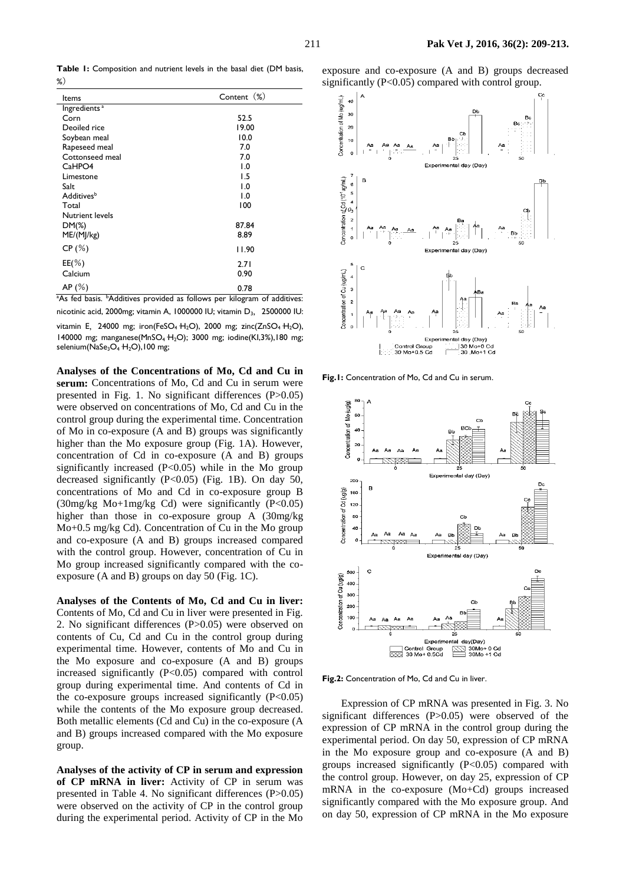**Table 1:** Composition and nutrient levels in the basal diet (DM basis, %)

| Items                    | Content (%)      |
|--------------------------|------------------|
| Ingredients <sup>a</sup> |                  |
| Corn                     | 52.5             |
| Deoiled rice             | 19.00            |
| Soybean meal             | 10.0             |
| Rapeseed meal            | 7.0              |
| Cottonseed meal          | 7.0              |
| CaHPO4                   | 1.0              |
| Limestone                | 1.5              |
| Salt                     | 1.0              |
| Additives <sup>b</sup>   | $\overline{0}$ . |
| Total                    | 100              |
| Nutrient levels          |                  |
| $DM(\%)$                 | 87.84            |
| ME/(M]/kg)               | 8.89             |
| CP(%)                    | 11.90            |
| $EE(\%)$                 | 2.71             |
| Calcium                  | 0.90             |
| AP(%)                    | 0.78             |

<sup>a</sup>As fed basis. <sup>b</sup>Additives provided as follows per kilogram of additives: nicotinic acid, 2000mg; vitamin A, 1000000 IU; vitamin D<sub>3</sub>, 2500000 IU:

vitamin E, 24000 mg; iron(FeSO<sub>4</sub> H<sub>2</sub>O), 2000 mg; zinc(ZnSO<sub>4</sub> H<sub>2</sub>O), 140000 mg; manganese(MnSO4·H2O); 3000 mg; iodine(KI,3%),180 mg; selenium(NaSe<sub>3</sub>O<sub>4</sub> H<sub>2</sub>O),100 mg;

**Analyses of the Concentrations of Mo, Cd and Cu in**  serum: Concentrations of Mo, Cd and Cu in serum were presented in Fig. 1. No significant differences (P>0.05) were observed on concentrations of Mo, Cd and Cu in the control group during the experimental time. Concentration of Mo in co-exposure (A and B) groups was significantly higher than the Mo exposure group (Fig. 1A). However, concentration of Cd in co-exposure (A and B) groups significantly increased  $(P<0.05)$  while in the Mo group decreased significantly  $(P<0.05)$  (Fig. 1B). On day 50, concentrations of Mo and Cd in co-exposure group B (30mg/kg Mo+1mg/kg Cd) were significantly (P<0.05) higher than those in co-exposure group A (30mg/kg Mo+0.5 mg/kg Cd). Concentration of Cu in the Mo group and co-exposure (A and B) groups increased compared with the control group. However, concentration of Cu in Mo group increased significantly compared with the coexposure (A and B) groups on day 50 (Fig. 1C).

**Analyses of the Contents of Mo, Cd and Cu in liver:**  Contents of Mo, Cd and Cu in liver were presented in Fig. 2. No significant differences (P>0.05) were observed on contents of Cu, Cd and Cu in the control group during experimental time. However, contents of Mo and Cu in the Mo exposure and co-exposure (A and B) groups increased significantly (P<0.05) compared with control group during experimental time. And contents of Cd in the co-exposure groups increased significantly  $(P<0.05)$ while the contents of the Mo exposure group decreased. Both metallic elements (Cd and Cu) in the co-exposure (A and B) groups increased compared with the Mo exposure group.

**Analyses of the activity of CP in serum and expression of CP mRNA in liver:** Activity of CP in serum was presented in Table 4. No significant differences (P>0.05) were observed on the activity of CP in the control group during the experimental period. Activity of CP in the Mo





**Fig.1:** Concentration of Mo, Cd and Cu in serum.



**Fig.2:** Concentration of Mo, Cd and Cu in liver.

Expression of CP mRNA was presented in Fig. 3. No significant differences (P>0.05) were observed of the expression of CP mRNA in the control group during the experimental period. On day 50, expression of CP mRNA in the Mo exposure group and co-exposure (A and B) groups increased significantly  $(P<0.05)$  compared with the control group. However, on day 25, expression of CP mRNA in the co-exposure (Mo+Cd) groups increased significantly compared with the Mo exposure group. And on day 50, expression of CP mRNA in the Mo exposure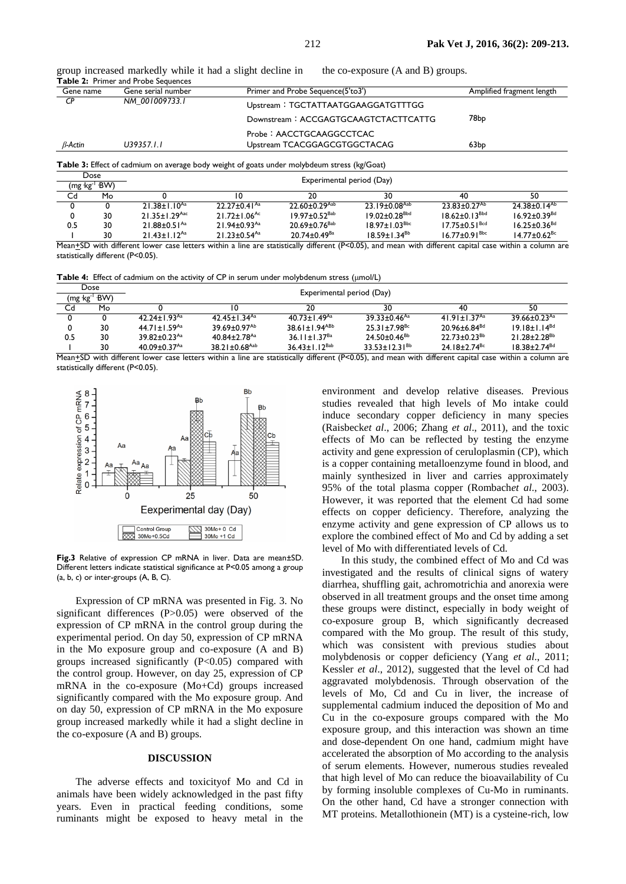group increased markedly while it had a slight decline in the co-exposure (A and B) groups. **Table 2:** Primer and Probe Sequences

| Gene name      | Gene serial number                                   | Primer and Probe Sequence(5'to3')    | Amplified fragment length |
|----------------|------------------------------------------------------|--------------------------------------|---------------------------|
| CР             | NM 001009733.1<br>Upstream: TGCTATTAATGGAAGGATGTTTGG |                                      |                           |
|                |                                                      | Downstream: ACCGAGTGCAAGTCTACTTCATTG | 78bp                      |
|                |                                                      | Probe: AACCTGCAAGGCCTCAC             |                           |
| $\beta$ -Actin | U39357.I.I                                           | Upstream TCACGGAGCGTGGCTACAG         | 63 <sub>bp</sub>          |

**Table 3:** Effect of cadmium on average body weight of goats under molybdeum stress (kg/Goat)

|     | Dose<br>(mg kg <sup>-</sup> ' BW) |                                |                                | Experimental period (Day)       |                                 |                                 |                                     |
|-----|-----------------------------------|--------------------------------|--------------------------------|---------------------------------|---------------------------------|---------------------------------|-------------------------------------|
| Cd  | Mo                                |                                |                                | 20                              | 30                              | 40                              | 50                                  |
|     |                                   | $21.38 \pm 1.10^{Aa}$          | $22.27 + 0.41$ <sup>Aa</sup>   | $22.60 \pm 0.29$ <sup>Aab</sup> | $23.19 \pm 0.08$ <sup>Aab</sup> | $23.83 \pm 0.27^{Ab}$           | $24.38 \pm 0.1$ $\overline{4^{Ab}}$ |
|     | 30                                | $21.35 + 1.29$ <sup>Aac</sup>  | $21.72 \pm 1.06$ <sup>Ac</sup> | $19.97 \pm 0.52$ <sup>Bab</sup> | $19.02 + 0.28$ <sup>Bbd</sup>   | $18.62 \pm 0.13^{Bbd}$          | $16.92 + 0.39$ <sup>Bd</sup>        |
| 0.5 | 30                                | $21.88 \pm 0.51$ <sup>Aa</sup> | $21.94 \pm 0.93$ <sup>Aa</sup> | $20.69 \pm 0.76$ <sup>Bab</sup> | $18.97 \pm 1.03^{Bbc}$          | $17.75 \pm 0.51$ <sup>Bcd</sup> | $16.25 \pm 0.36$ <sup>Bd</sup>      |
|     | 30                                | $21.43 \pm 1.12^{Aa}$          | $21.23 \pm 0.54$ <sup>Aa</sup> | $20.74 \pm 0.49$ <sup>Ba</sup>  | $18.59 \pm 1.34^{Bb}$           | $16.77 \pm 0.91$ <sup>Bbc</sup> | $14.77 \pm 0.62$ <sup>Bc</sup>      |

Mean<sup>+</sup>SD with different lower case letters within a line are statistically different (P<0.05), and mean with different capital case within a column are statistically different (P<0.05).

**Table 4:** Effect of cadmium on the activity of CP in serum under molybdenum stress (μmol/L)

|     | Dose                    |                                |                                 |                           |                                |                                |                                |
|-----|-------------------------|--------------------------------|---------------------------------|---------------------------|--------------------------------|--------------------------------|--------------------------------|
|     | $(mg \, kg^{-1} \, BW)$ | Experimental period (Day)      |                                 |                           |                                |                                |                                |
| Cd  | Mo                      |                                |                                 | 20                        | 30                             | 40                             | 50                             |
|     |                         | $42.24 \pm 1.93$ <sup>Aa</sup> | 42.45+1.34 $A$ <sup>2</sup>     | 40.73±1.49 <sup>Aa</sup>  | $39.33 \pm 0.46$ <sup>Aa</sup> | 41.91 $\pm$ 1.37 $^{Aa}$       | $39.66 \pm 0.23$ <sup>Aa</sup> |
|     | 30                      | 44.71 ± $1.59^{Aa}$            | $39.69 \pm 0.97^{Ab}$           | 38.61±1.94 <sup>ABb</sup> | $25.31 \pm 7.98$ <sup>Bc</sup> | $20.96 \pm 6.84$ <sup>Bd</sup> | $19.18 + 1.14^{Bd}$            |
| 0.5 | 30                      | $39.82 \pm 0.23$ <sup>Aa</sup> | $40.84 \pm 2.78$ <sup>Aa</sup>  | 36.11±1.37 <sup>8a</sup>  | 24.50±0.46 <sup>Bb</sup>       | $22.73 + 0.23^{8b}$            | $21.28 + 2.28$ <sup>Bb</sup>   |
|     | 30                      | $40.09 \pm 0.37$ <sup>Aa</sup> | 38.21 $\pm$ 0.68 <sup>Aab</sup> | $36.43 \pm 1.12^{Bab}$    | $33.53 + 12.31^{8b}$           | $24.18 \pm 2.74$ <sup>Bc</sup> | $18.38 + 2.74$ <sup>Bd</sup>   |

Mean<sup>+SD</sup> with different lower case letters within a line are statistically different (P<0.05), and mean with different capital case within a column are statistically different (P<0.05).



**Fig.3** Relative of expression CP mRNA in liver. Data are mean±SD. Different letters indicate statistical significance at P<0.05 among a group (a, b, c) or inter-groups (A, B, C).

Expression of CP mRNA was presented in Fig. 3. No significant differences (P>0.05) were observed of the expression of CP mRNA in the control group during the experimental period. On day 50, expression of CP mRNA in the Mo exposure group and co-exposure (A and B) groups increased significantly  $(P<0.05)$  compared with the control group. However, on day 25, expression of CP mRNA in the co-exposure (Mo+Cd) groups increased significantly compared with the Mo exposure group. And on day 50, expression of CP mRNA in the Mo exposure group increased markedly while it had a slight decline in the co-exposure (A and B) groups.

#### **DISCUSSION**

The adverse effects and toxicityof Mo and Cd in animals have been widely acknowledged in the past fifty years. Even in practical feeding conditions, some ruminants might be exposed to heavy metal in the

environment and develop relative diseases. Previous studies revealed that high levels of Mo intake could induce secondary copper deficiency in many species (Raisbeck*et al*., 2006; Zhang *et al*., 2011), and the toxic effects of Mo can be reflected by testing the enzyme activity and gene expression of ceruloplasmin (CP), which is a copper containing metalloenzyme found in blood, and mainly synthesized in liver and carries approximately 95% of the total plasma copper (Rombach*et al*., 2003). However, it was reported that the element Cd had some effects on copper deficiency. Therefore, analyzing the enzyme activity and gene expression of CP allows us to explore the combined effect of Mo and Cd by adding a set level of Mo with differentiated levels of Cd.

In this study, the combined effect of Mo and Cd was investigated and the results of clinical signs of watery diarrhea, shuffling gait, achromotrichia and anorexia were observed in all treatment groups and the onset time among these groups were distinct, especially in body weight of co-exposure group B, which significantly decreased compared with the Mo group. The result of this study, which was consistent with previous studies about molybdenosis or copper deficiency (Yang *et al*., 2011; Kessler *et al*., 2012), suggested that the level of Cd had aggravated molybdenosis. Through observation of the levels of Mo, Cd and Cu in liver, the increase of supplemental cadmium induced the deposition of Mo and Cu in the co-exposure groups compared with the Mo exposure group, and this interaction was shown an time and dose-dependent On one hand, cadmium might have accelerated the absorption of Mo according to the analysis of serum elements. However, numerous studies revealed that high level of Mo can reduce the bioavailability of Cu by forming insoluble complexes of Cu-Mo in ruminants. On the other hand, Cd have a stronger connection with MT proteins. Metallothionein (MT) is a cysteine-rich, low